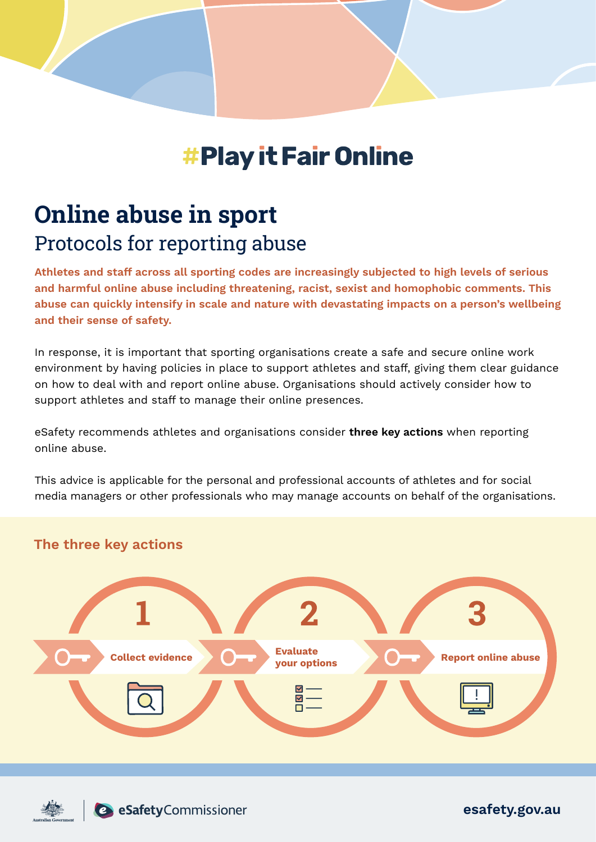# **#Play it Fair Online**

# **Online abuse in sport** Protocols for reporting abuse

**Athletes and staff across all sporting codes are increasingly subjected to high levels of serious and harmful online abuse including threatening, racist, sexist and homophobic comments. This abuse can quickly intensify in scale and nature with devastating impacts on a person's wellbeing and their sense of safety.**

In response, it is important that sporting organisations create a safe and secure online work environment by having policies in place to support athletes and staff, giving them clear guidance on how to deal with and report online abuse. Organisations should actively consider how to support athletes and staff to manage their online presences.

eSafety recommends athletes and organisations consider **three key actions** when reporting online abuse.

This advice is applicable for the personal and professional accounts of athletes and for social media managers or other professionals who may manage accounts on behalf of the organisations.

### **The three key actions**





**esafety.gov.au**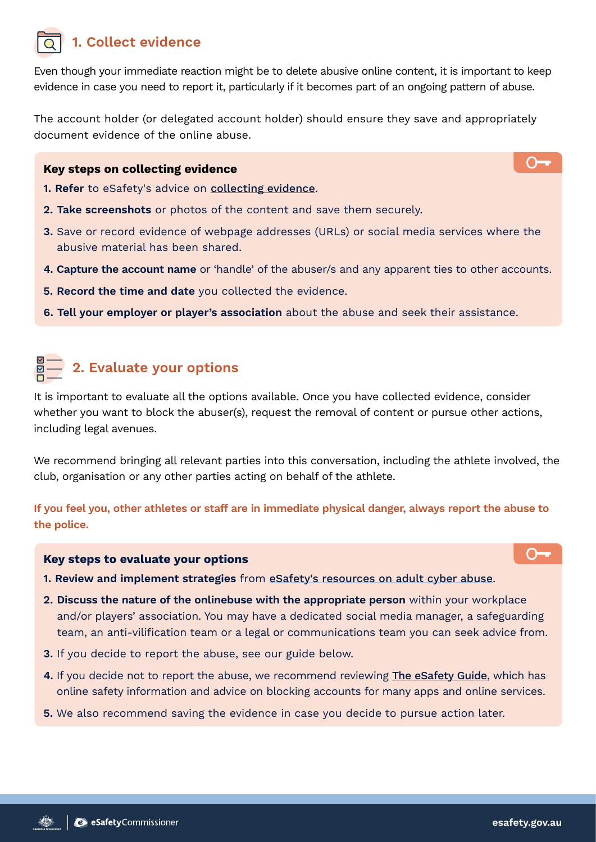## **1. Collect evidence**

Even though your immediate reaction might be to delete abusive online content, it is important to keep evidence in case you need to report it, particularly if it becomes part of an ongoing pattern of abuse.

The account holder (or delegated account holder) should ensure they save and appropriately document evidence of the online abuse.

#### **Key steps on collecting evidence**

- **1. Refer** to eSafety's advice on [collecting evidence](https://www.esafety.gov.au/report/adult-cyber-abuse/collecting-evidence).
- **2. Take screenshots** or photos of the content and save them securely.
- **3.** Save or record evidence of webpage addresses (URLs) or social media services where the abusive material has been shared.
- **4. Capture the account name** or 'handle' of the abuser/s and any apparent ties to other accounts.
- **5. Record the time and date** you collected the evidence.
- **6. Tell your employer or player's association** about the abuse and seek their assistance.

# **2. Evaluate your options**

It is important to evaluate all the options available. Once you have collected evidence, consider whether you want to block the abuser(s), request the removal of content or pursue other actions, including legal avenues.

We recommend bringing all relevant parties into this conversation, including the athlete involved, the club, organisation or any other parties acting on behalf of the athlete.

**If you feel you, other athletes or staff are in immediate physical danger, always report the abuse to the police.**

#### **Key steps to evaluate your options**

- **1. Review and implement strategies** from [eSafety's resources on adult cyber abuse](https://www.esafety.gov.au/key-issues/adult-cyber-abuse).
- **2. Discuss the nature of the onlinebuse with the appropriate person** within your workplace and/or players' association. You may have a dedicated social media manager, a safeguarding team, an anti-vilification team or a legal or communications team you can seek advice from.
- **3.** If you decide to report the abuse, see our guide below.
- **4.** If you decide not to report the abuse, we recommend reviewing [The eSafety Guide](https://www.esafety.gov.au/key-issues/esafety-guide), which has online safety information and advice on blocking accounts for many apps and online services.
- **5.** We also recommend saving the evidence in case you decide to pursue action later.

─